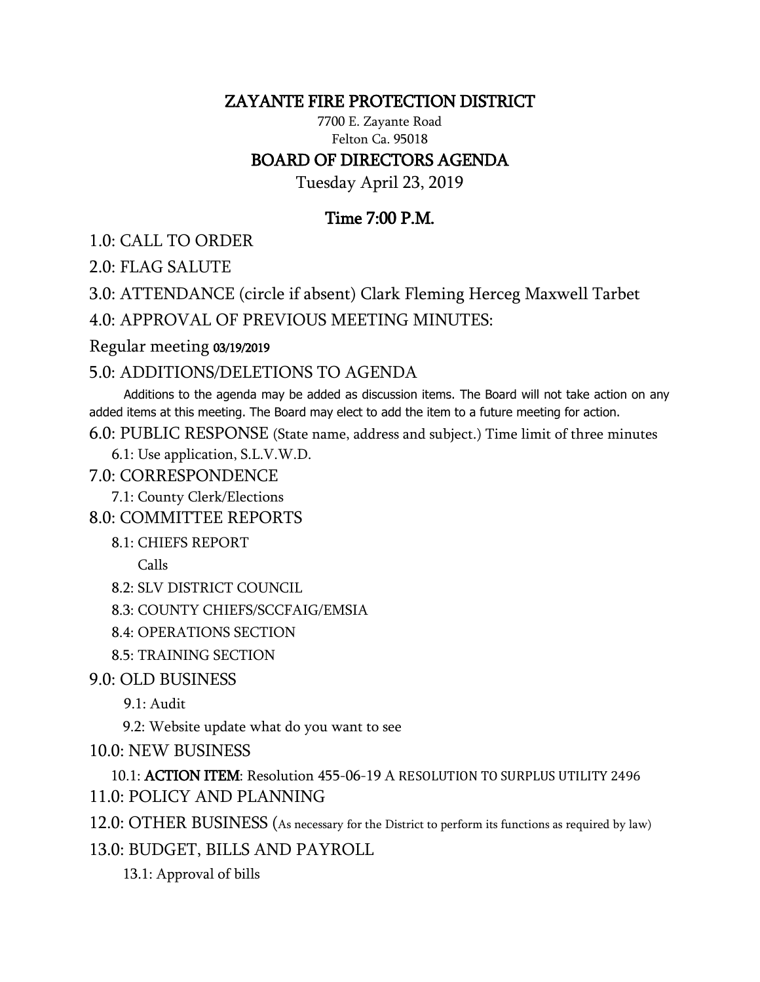### ZAYANTE FIRE PROTECTION DISTRICT

7700 E. Zayante Road Felton Ca. 95018

# BOARD OF DIRECTORS AGENDA

Tuesday April 23, 2019

# Time 7:00 P.M.

1.0: CALL TO ORDER

2.0: FLAG SALUTE

3.0: ATTENDANCE (circle if absent) Clark Fleming Herceg Maxwell Tarbet

4.0: APPROVAL OF PREVIOUS MEETING MINUTES:

#### Regular meeting 03/19/2019

### 5.0: ADDITIONS/DELETIONS TO AGENDA

 Additions to the agenda may be added as discussion items. The Board will not take action on any added items at this meeting. The Board may elect to add the item to a future meeting for action.

6.0: PUBLIC RESPONSE (State name, address and subject.) Time limit of three minutes

6.1: Use application, S.L.V.W.D.

7.0: CORRESPONDENCE

7.1: County Clerk/Elections

8.0: COMMITTEE REPORTS

8.1: CHIEFS REPORT

Calls

8.2: SLV DISTRICT COUNCIL

8.3: COUNTY CHIEFS/SCCFAIG/EMSIA

8.4: OPERATIONS SECTION

8.5: TRAINING SECTION

9.0: OLD BUSINESS

9.1: Audit

9.2: Website update what do you want to see

10.0: NEW BUSINESS

 10.1: ACTION ITEM: Resolution 455-06-19 A RESOLUTION TO SURPLUS UTILITY 2496 11.0: POLICY AND PLANNING

12.0: OTHER BUSINESS (As necessary for the District to perform its functions as required by law)

13.0: BUDGET, BILLS AND PAYROLL

13.1: Approval of bills